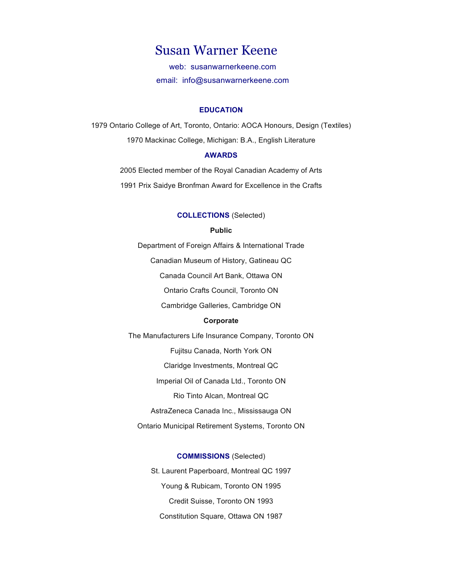# Susan Warner Keene

web: susanwarnerkeene.com email: info@susanwarnerkeene.com

## **EDUCATION**

1979 Ontario College of Art, Toronto, Ontario: AOCA Honours, Design (Textiles) 1970 Mackinac College, Michigan: B.A., English Literature

## **AWARDS**

2005 Elected member of the Royal Canadian Academy of Arts 1991 Prix Saidye Bronfman Award for Excellence in the Crafts

## **COLLECTIONS** (Selected)

## **Public**

Department of Foreign Affairs & International Trade

Canadian Museum of History, Gatineau QC

Canada Council Art Bank, Ottawa ON

Ontario Crafts Council, Toronto ON

Cambridge Galleries, Cambridge ON

## **Corporate**

The Manufacturers Life Insurance Company, Toronto ON Fujitsu Canada, North York ON Claridge Investments, Montreal QC Imperial Oil of Canada Ltd., Toronto ON Rio Tinto Alcan, Montreal QC AstraZeneca Canada Inc., Mississauga ON Ontario Municipal Retirement Systems, Toronto ON

> **COMMISSIONS** (Selected) St. Laurent Paperboard, Montreal QC 1997 Young & Rubicam, Toronto ON 1995 Credit Suisse, Toronto ON 1993 Constitution Square, Ottawa ON 1987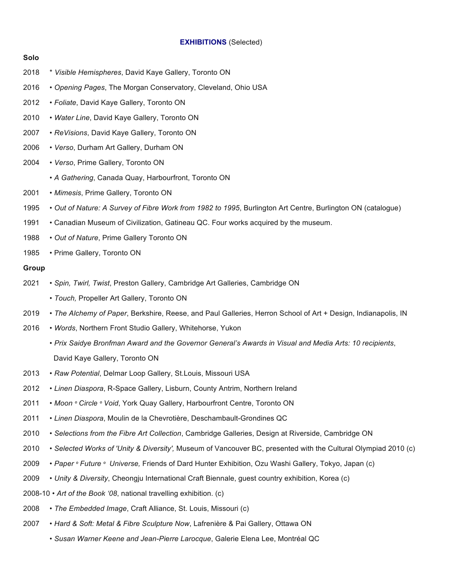## **EXHIBITIONS** (Selected)

- **Solo** 2018 \* *Visible Hemispheres*, David Kaye Gallery, Toronto ON 2016 • *Opening Pages*, The Morgan Conservatory, Cleveland, Ohio USA 2012 • *Foliate*, David Kaye Gallery, Toronto ON 2010 • *Water Line*, David Kaye Gallery, Toronto ON 2007 • *ReVisions*, David Kaye Gallery, Toronto ON 2006 • *Verso*, Durham Art Gallery, Durham ON 2004 • *Verso*, Prime Gallery, Toronto ON • *A Gathering*, Canada Quay, Harbourfront, Toronto ON 2001 • *Mimesis*, Prime Gallery, Toronto ON 1995 • *Out of Nature: A Survey of Fibre Work from 1982 to 1995*, Burlington Art Centre, Burlington ON (catalogue) 1991 • Canadian Museum of Civilization, Gatineau QC. Four works acquired by the museum. 1988 • *Out of Nature*, Prime Gallery Toronto ON 1985 • Prime Gallery, Toronto ON **Group** 2021 • *Spin, Twirl, Twist*, Preston Gallery, Cambridge Art Galleries, Cambridge ON • *Touch,* Propeller Art Gallery, Toronto ON 2019 • *The Alchemy of Paper*, Berkshire, Reese, and Paul Galleries, Herron School of Art + Design, Indianapolis, IN 2016 • *Words*, Northern Front Studio Gallery, Whitehorse, Yukon • *Prix Saidye Bronfman Award and the Governor General's Awards in Visual and Media Arts: 10 recipients*, David Kaye Gallery, Toronto ON 2013 • *Raw Potential*, Delmar Loop Gallery, St.Louis, Missouri USA 2012 • *Linen Diaspora*, R-Space Gallery, Lisburn, County Antrim, Northern Ireland 2011 • *Moon º Circle º Void*, York Quay Gallery, Harbourfront Centre, Toronto ON 2011 • *Linen Diaspora*, Moulin de la Chevrotière, Deschambault-Grondines QC 2010 • *Selections from the Fibre Art Collection*, Cambridge Galleries, Design at Riverside, Cambridge ON 2010 • *Selected Works of 'Unity & Diversity',* Museum of Vancouver BC, presented with the Cultural Olympiad 2010 (c) 2009 • *Paper º Future º Universe,* Friends of Dard Hunter Exhibition, Ozu Washi Gallery, Tokyo, Japan (c) 2009 • *Unity & Diversity*, Cheongju International Craft Biennale, guest country exhibition, Korea (c) 2008-10 • *Art of the Book '08*, national travelling exhibition. (c)
	- 2008 *The Embedded Image*, Craft Alliance, St. Louis, Missouri (c)
	- 2007 *Hard & Soft: Metal & Fibre Sculpture Now*, Lafrenière & Pai Gallery, Ottawa ON
		- *Susan Warner Keene and Jean-Pierre Larocque*, Galerie Elena Lee, Montréal QC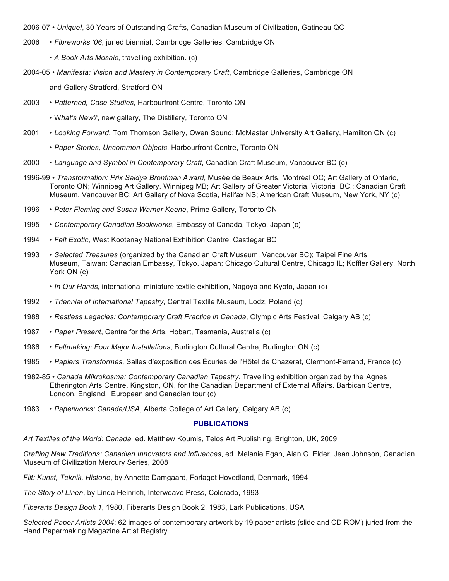2006-07 • *Unique!*, 30 Years of Outstanding Crafts, Canadian Museum of Civilization, Gatineau QC

- 2006 *Fibreworks '06*, juried biennial, Cambridge Galleries, Cambridge ON
	- *A Book Arts Mosaic*, travelling exhibition. (c)
- 2004-05 *Manifesta: Vision and Mastery in Contemporary Craft*, Cambridge Galleries, Cambridge ON

and Gallery Stratford, Stratford ON

- 2003 *Patterned, Case Studies*, Harbourfront Centre, Toronto ON
	- W*hat's New?*, new gallery, The Distillery, Toronto ON
- 2001 *Looking Forward*, Tom Thomson Gallery, Owen Sound; McMaster University Art Gallery, Hamilton ON (c)
	- *Paper Stories, Uncommon Objects*, Harbourfront Centre, Toronto ON
- 2000 *Language and Symbol in Contemporary Craft*, Canadian Craft Museum, Vancouver BC (c)
- 1996-99 *Transformation: Prix Saidye Bronfman Award*, Musée de Beaux Arts, Montréal QC; Art Gallery of Ontario, Toronto ON; Winnipeg Art Gallery, Winnipeg MB; Art Gallery of Greater Victoria, Victoria BC.; Canadian Craft Museum, Vancouver BC; Art Gallery of Nova Scotia, Halifax NS; American Craft Museum, New York, NY (c)
- 1996 *Peter Fleming and Susan Warner Keene*, Prime Gallery, Toronto ON
- 1995 *Contemporary Canadian Bookworks*, Embassy of Canada, Tokyo, Japan (c)
- 1994 *Felt Exotic*, West Kootenay National Exhibition Centre, Castlegar BC
- 1993 *Selected Treasures* (organized by the Canadian Craft Museum, Vancouver BC); Taipei Fine Arts Museum, Taiwan; Canadian Embassy, Tokyo, Japan; Chicago Cultural Centre, Chicago IL; Koffler Gallery, North York ON (c)
	- *In Our Hands*, international miniature textile exhibition, Nagoya and Kyoto, Japan (c)
- 1992 *Triennial of International Tapestry*, Central Textile Museum, Lodz, Poland (c)
- 1988 *Restless Legacies: Contemporary Craft Practice in Canada*, Olympic Arts Festival, Calgary AB (c)
- 1987 *Paper Present*, Centre for the Arts, Hobart, Tasmania, Australia (c)
- 1986 *Feltmaking: Four Major Installations*, Burlington Cultural Centre, Burlington ON (c)
- 1985 *Papiers Transformés*, Salles d'exposition des Écuries de l'Hôtel de Chazerat, Clermont-Ferrand, France (c)
- 1982-85 *Canada Mikrokosma: Contemporary Canadian Tapestry*. Travelling exhibition organized by the Agnes Etherington Arts Centre, Kingston, ON, for the Canadian Department of External Affairs. Barbican Centre, London, England. European and Canadian tour (c)
- 1983 *Paperworks: Canada/USA*, Alberta College of Art Gallery, Calgary AB (c)

# **PUBLICATIONS**

*Art Textiles of the World: Canada,* ed. Matthew Koumis, Telos Art Publishing, Brighton, UK, 2009

*Crafting New Traditions: Canadian Innovators and Influences*, ed. Melanie Egan, Alan C. Elder, Jean Johnson, Canadian Museum of Civilization Mercury Series, 2008

*Filt: Kunst, Teknik, Historie*, by Annette Damgaard, Forlaget Hovedland, Denmark, 1994

*The Story of Linen*, by Linda Heinrich, Interweave Press, Colorado, 1993

*Fiberarts Design Book 1*, 1980, Fiberarts Design Book 2, 1983, Lark Publications, USA

*Selected Paper Artists 2004*: 62 images of contemporary artwork by 19 paper artists (slide and CD ROM) juried from the Hand Papermaking Magazine Artist Registry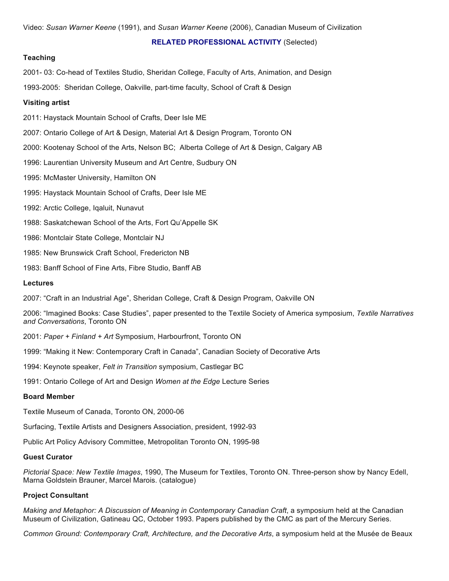#### **RELATED PROFESSIONAL ACTIVITY** (Selected)

# **Teaching**

2001- 03: Co-head of Textiles Studio, Sheridan College, Faculty of Arts, Animation, and Design

1993-2005: Sheridan College, Oakville, part-time faculty, School of Craft & Design

#### **Visiting artist**

2011: Haystack Mountain School of Crafts, Deer Isle ME

2007: Ontario College of Art & Design, Material Art & Design Program, Toronto ON

2000: Kootenay School of the Arts, Nelson BC; Alberta College of Art & Design, Calgary AB

1996: Laurentian University Museum and Art Centre, Sudbury ON

1995: McMaster University, Hamilton ON

1995: Haystack Mountain School of Crafts, Deer Isle ME

- 1992: Arctic College, Iqaluit, Nunavut
- 1988: Saskatchewan School of the Arts, Fort Qu'Appelle SK
- 1986: Montclair State College, Montclair NJ
- 1985: New Brunswick Craft School, Fredericton NB
- 1983: Banff School of Fine Arts, Fibre Studio, Banff AB

# **Lectures**

2007: "Craft in an Industrial Age", Sheridan College, Craft & Design Program, Oakville ON

2006: "Imagined Books: Case Studies", paper presented to the Textile Society of America symposium, *Textile Narratives and Conversations*, Toronto ON

2001: *Paper + Finland + Art* Symposium, Harbourfront, Toronto ON

1999: "Making it New: Contemporary Craft in Canada", Canadian Society of Decorative Arts

1994: Keynote speaker, *Felt in Transition* symposium, Castlegar BC

1991: Ontario College of Art and Design *Women at the Edge* Lecture Series

#### **Board Member**

Textile Museum of Canada, Toronto ON, 2000-06

Surfacing, Textile Artists and Designers Association, president, 1992-93

Public Art Policy Advisory Committee, Metropolitan Toronto ON, 1995-98

#### **Guest Curator**

*Pictorial Space: New Textile Images*, 1990, The Museum for Textiles, Toronto ON. Three-person show by Nancy Edell, Marna Goldstein Brauner, Marcel Marois. (catalogue)

## **Project Consultant**

*Making and Metaphor: A Discussion of Meaning in Contemporary Canadian Craft*, a symposium held at the Canadian Museum of Civilization, Gatineau QC, October 1993. Papers published by the CMC as part of the Mercury Series.

*Common Ground: Contemporary Craft, Architecture, and the Decorative Arts*, a symposium held at the Musée de Beaux